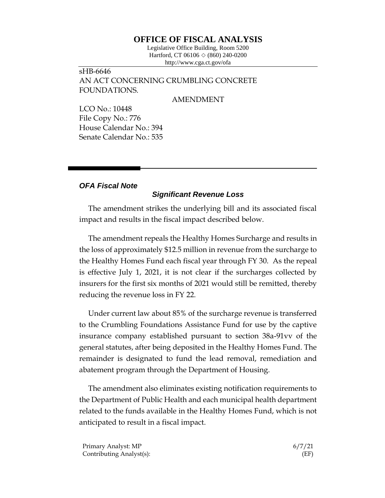## **OFFICE OF FISCAL ANALYSIS**

Legislative Office Building, Room 5200 Hartford, CT 06106  $\Diamond$  (860) 240-0200 http://www.cga.ct.gov/ofa

sHB-6646 AN ACT CONCERNING CRUMBLING CONCRETE FOUNDATIONS.

## AMENDMENT

LCO No.: 10448 File Copy No.: 776 House Calendar No.: 394 Senate Calendar No.: 535

## *OFA Fiscal Note*

## *Significant Revenue Loss*

The amendment strikes the underlying bill and its associated fiscal impact and results in the fiscal impact described below.

The amendment repeals the Healthy Homes Surcharge and results in the loss of approximately \$12.5 million in revenue from the surcharge to the Healthy Homes Fund each fiscal year through FY 30. As the repeal is effective July 1, 2021, it is not clear if the surcharges collected by insurers for the first six months of 2021 would still be remitted, thereby reducing the revenue loss in FY 22.

Under current law about 85% of the surcharge revenue is transferred to the Crumbling Foundations Assistance Fund for use by the captive insurance company established pursuant to section 38a-91vv of the general statutes, after being deposited in the Healthy Homes Fund. The remainder is designated to fund the lead removal, remediation and abatement program through the Department of Housing.

The amendment also eliminates existing notification requirements to the Department of Public Health and each municipal health department related to the funds available in the Healthy Homes Fund, which is not anticipated to result in a fiscal impact.